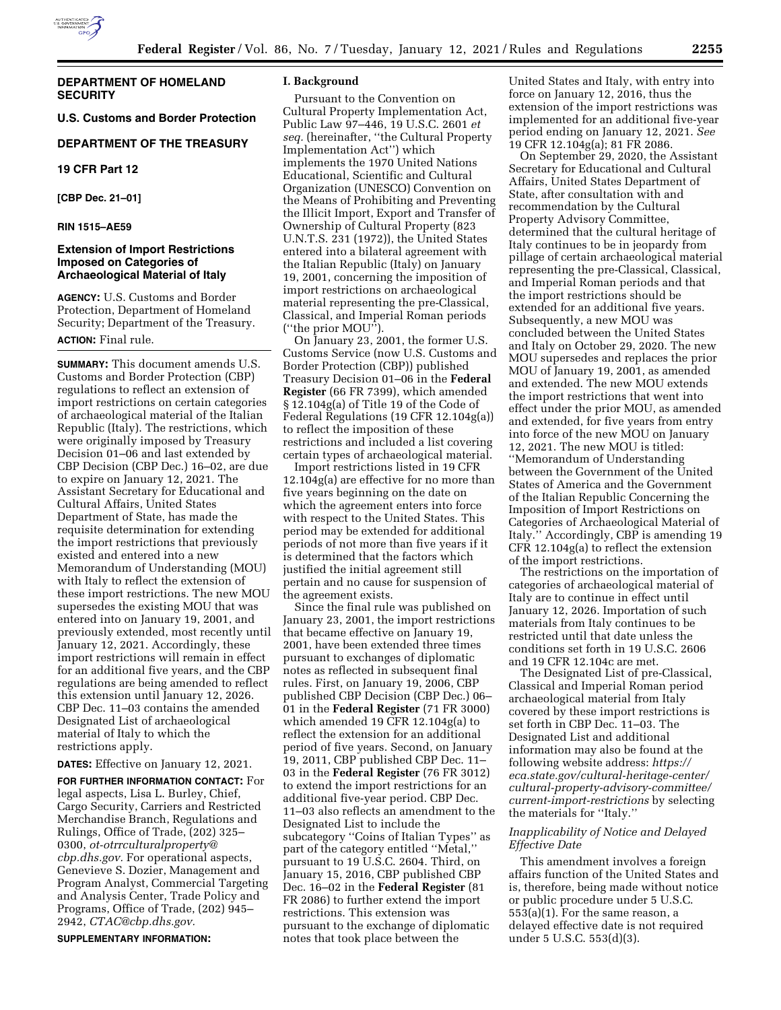

## **DEPARTMENT OF HOMELAND SECURITY**

**U.S. Customs and Border Protection** 

## **DEPARTMENT OF THE TREASURY**

**19 CFR Part 12** 

**[CBP Dec. 21–01]** 

### **RIN 1515–AE59**

## **Extension of Import Restrictions Imposed on Categories of Archaeological Material of Italy**

**AGENCY:** U.S. Customs and Border Protection, Department of Homeland Security; Department of the Treasury.

# **ACTION:** Final rule.

**SUMMARY:** This document amends U.S. Customs and Border Protection (CBP) regulations to reflect an extension of import restrictions on certain categories of archaeological material of the Italian Republic (Italy). The restrictions, which were originally imposed by Treasury Decision 01–06 and last extended by CBP Decision (CBP Dec.) 16–02, are due to expire on January 12, 2021. The Assistant Secretary for Educational and Cultural Affairs, United States Department of State, has made the requisite determination for extending the import restrictions that previously existed and entered into a new Memorandum of Understanding (MOU) with Italy to reflect the extension of these import restrictions. The new MOU supersedes the existing MOU that was entered into on January 19, 2001, and previously extended, most recently until January 12, 2021. Accordingly, these import restrictions will remain in effect for an additional five years, and the CBP regulations are being amended to reflect this extension until January 12, 2026. CBP Dec. 11–03 contains the amended Designated List of archaeological material of Italy to which the restrictions apply.

# **DATES:** Effective on January 12, 2021.

**FOR FURTHER INFORMATION CONTACT:** For legal aspects, Lisa L. Burley, Chief, Cargo Security, Carriers and Restricted Merchandise Branch, Regulations and Rulings, Office of Trade, (202) 325– 0300, *[ot-otrrculturalproperty@](mailto:ot-otrrculturalproperty@cbp.dhs.gov) [cbp.dhs.gov.](mailto:ot-otrrculturalproperty@cbp.dhs.gov)* For operational aspects, Genevieve S. Dozier, Management and Program Analyst, Commercial Targeting and Analysis Center, Trade Policy and Programs, Office of Trade, (202) 945– 2942, *[CTAC@cbp.dhs.gov.](mailto:CTAC@cbp.dhs.gov)* 

**SUPPLEMENTARY INFORMATION:** 

#### **I. Background**

Pursuant to the Convention on Cultural Property Implementation Act, Public Law 97–446, 19 U.S.C. 2601 *et seq.* (hereinafter, ''the Cultural Property Implementation Act'') which implements the 1970 United Nations Educational, Scientific and Cultural Organization (UNESCO) Convention on the Means of Prohibiting and Preventing the Illicit Import, Export and Transfer of Ownership of Cultural Property (823 U.N.T.S. 231 (1972)), the United States entered into a bilateral agreement with the Italian Republic (Italy) on January 19, 2001, concerning the imposition of import restrictions on archaeological material representing the pre-Classical, Classical, and Imperial Roman periods (''the prior MOU'').

On January 23, 2001, the former U.S. Customs Service (now U.S. Customs and Border Protection (CBP)) published Treasury Decision 01–06 in the **Federal Register** (66 FR 7399), which amended § 12.104g(a) of Title 19 of the Code of Federal Regulations (19 CFR 12.104g(a)) to reflect the imposition of these restrictions and included a list covering certain types of archaeological material.

Import restrictions listed in 19 CFR 12.104g(a) are effective for no more than five years beginning on the date on which the agreement enters into force with respect to the United States. This period may be extended for additional periods of not more than five years if it is determined that the factors which justified the initial agreement still pertain and no cause for suspension of the agreement exists.

Since the final rule was published on January 23, 2001, the import restrictions that became effective on January 19, 2001, have been extended three times pursuant to exchanges of diplomatic notes as reflected in subsequent final rules. First, on January 19, 2006, CBP published CBP Decision (CBP Dec.) 06– 01 in the **Federal Register** (71 FR 3000) which amended 19 CFR 12.104g(a) to reflect the extension for an additional period of five years. Second, on January 19, 2011, CBP published CBP Dec. 11– 03 in the **Federal Register** (76 FR 3012) to extend the import restrictions for an additional five-year period. CBP Dec. 11–03 also reflects an amendment to the Designated List to include the subcategory ''Coins of Italian Types'' as part of the category entitled ''Metal,'' pursuant to 19 U.S.C. 2604. Third, on January 15, 2016, CBP published CBP Dec. 16–02 in the **Federal Register** (81 FR 2086) to further extend the import restrictions. This extension was pursuant to the exchange of diplomatic notes that took place between the

United States and Italy, with entry into force on January 12, 2016, thus the extension of the import restrictions was implemented for an additional five-year period ending on January 12, 2021. *See*  19 CFR 12.104g(a); 81 FR 2086.

On September 29, 2020, the Assistant Secretary for Educational and Cultural Affairs, United States Department of State, after consultation with and recommendation by the Cultural Property Advisory Committee, determined that the cultural heritage of Italy continues to be in jeopardy from pillage of certain archaeological material representing the pre-Classical, Classical, and Imperial Roman periods and that the import restrictions should be extended for an additional five years. Subsequently, a new MOU was concluded between the United States and Italy on October 29, 2020. The new MOU supersedes and replaces the prior MOU of January 19, 2001, as amended and extended. The new MOU extends the import restrictions that went into effect under the prior MOU, as amended and extended, for five years from entry into force of the new MOU on January 12, 2021. The new MOU is titled: ''Memorandum of Understanding between the Government of the United States of America and the Government of the Italian Republic Concerning the Imposition of Import Restrictions on Categories of Archaeological Material of Italy.'' Accordingly, CBP is amending 19 CFR 12.104g(a) to reflect the extension of the import restrictions.

The restrictions on the importation of categories of archaeological material of Italy are to continue in effect until January 12, 2026. Importation of such materials from Italy continues to be restricted until that date unless the conditions set forth in 19 U.S.C. 2606 and 19 CFR 12.104c are met.

The Designated List of pre-Classical, Classical and Imperial Roman period archaeological material from Italy covered by these import restrictions is set forth in CBP Dec. 11–03. The Designated List and additional information may also be found at the following website address: *[https://](https://eca.state.gov/cultural-heritage-center/cultural-property-advisory-committee/current-import-restrictions) [eca.state.gov/cultural-heritage-center/](https://eca.state.gov/cultural-heritage-center/cultural-property-advisory-committee/current-import-restrictions) [cultural-property-advisory-committee/](https://eca.state.gov/cultural-heritage-center/cultural-property-advisory-committee/current-import-restrictions)  [current-import-restrictions](https://eca.state.gov/cultural-heritage-center/cultural-property-advisory-committee/current-import-restrictions)* by selecting the materials for ''Italy.''

## *Inapplicability of Notice and Delayed Effective Date*

This amendment involves a foreign affairs function of the United States and is, therefore, being made without notice or public procedure under 5 U.S.C. 553(a)(1). For the same reason, a delayed effective date is not required under 5 U.S.C. 553(d)(3).